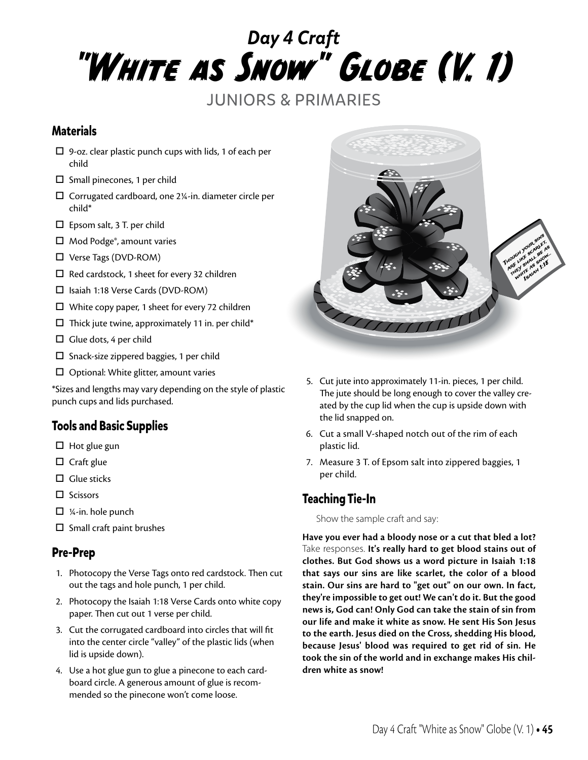# *Day 4 Craft* "White as Snow" Globe (V. 1)

JUNIORS & PRIMARIES

#### **Materials**

- $\Box$  9-oz. clear plastic punch cups with lids, 1 of each per child
- $\square$  Small pinecones, 1 per child
- $\square$  Corrugated cardboard, one 2¼-in. diameter circle per child\*
- $\square$  Epsom salt, 3 T. per child
- $\Box$  Mod Podge®, amount varies
- Verse Tags (DVD-ROM)
- $\Box$  Red cardstock, 1 sheet for every 32 children
- □ Isaiah 1:18 Verse Cards (DVD-ROM)
- $\Box$  White copy paper, 1 sheet for every 72 children
- $\Box$  Thick jute twine, approximately 11 in. per child\*
- $\Box$  Glue dots, 4 per child
- $\square$  Snack-size zippered baggies, 1 per child
- $\Box$  Optional: White glitter, amount varies

\*Sizes and lengths may vary depending on the style of plastic punch cups and lids purchased.

## **Tools and Basic Supplies**

- $\Box$  Hot glue gun
- $\Box$  Craft glue
- $\Box$  Glue sticks
- $\square$  Scissors
- $\Box$  1/4-in. hole punch
- $\square$  Small craft paint brushes

#### **Pre-Prep**

- 1. Photocopy the Verse Tags onto red cardstock. Then cut out the tags and hole punch, 1 per child.
- 2. Photocopy the Isaiah 1:18 Verse Cards onto white copy paper. Then cut out 1 verse per child.
- 3. Cut the corrugated cardboard into circles that will fit into the center circle "valley" of the plastic lids (when lid is upside down).
- 4. Use a hot glue gun to glue a pinecone to each cardboard circle. A generous amount of glue is recommended so the pinecone won't come loose.



- 5. Cut jute into approximately 11-in. pieces, 1 per child. The jute should be long enough to cover the valley created by the cup lid when the cup is upside down with the lid snapped on.
- 6. Cut a small V-shaped notch out of the rim of each plastic lid.
- 7. Measure 3 T. of Epsom salt into zippered baggies, 1 per child.

## **Teaching Tie-In**

Show the sample craft and say:

**Have you ever had a bloody nose or a cut that bled a lot?**  Take responses. **It's really hard to get blood stains out of clothes. But God shows us a word picture in Isaiah 1:18 that says our sins are like scarlet, the color of a blood stain. Our sins are hard to "get out" on our own. In fact, they're impossible to get out! We can't do it. But the good news is, God can! Only God can take the stain of sin from our life and make it white as snow. He sent His Son Jesus to the earth. Jesus died on the Cross, shedding His blood, because Jesus' blood was required to get rid of sin. He took the sin of the world and in exchange makes His children white as snow!**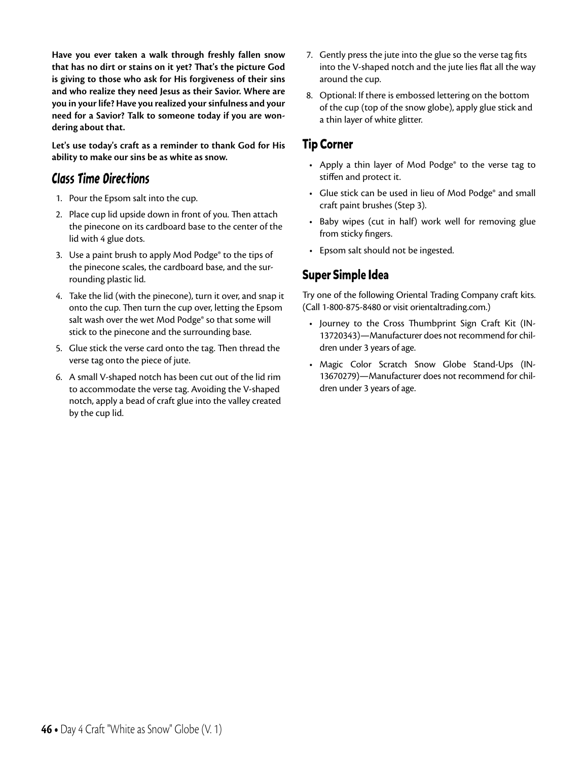**Have you ever taken a walk through freshly fallen snow that has no dirt or stains on it yet? That's the picture God is giving to those who ask for His forgiveness of their sins and who realize they need Jesus as their Savior. Where are you in your life? Have you realized your sinfulness and your need for a Savior? Talk to someone today if you are wondering about that.**

**Let's use today's craft as a reminder to thank God for His ability to make our sins be as white as snow.** 

# Class Time Directions

- 1. Pour the Epsom salt into the cup.
- 2. Place cup lid upside down in front of you. Then attach the pinecone on its cardboard base to the center of the lid with 4 glue dots.
- 3. Use a paint brush to apply Mod Podge® to the tips of the pinecone scales, the cardboard base, and the surrounding plastic lid.
- 4. Take the lid (with the pinecone), turn it over, and snap it onto the cup. Then turn the cup over, letting the Epsom salt wash over the wet Mod Podge® so that some will stick to the pinecone and the surrounding base.
- 5. Glue stick the verse card onto the tag. Then thread the verse tag onto the piece of jute.
- 6. A small V-shaped notch has been cut out of the lid rim to accommodate the verse tag. Avoiding the V-shaped notch, apply a bead of craft glue into the valley created by the cup lid.
- 7. Gently press the jute into the glue so the verse tag fits into the V-shaped notch and the jute lies flat all the way around the cup.
- 8. Optional: If there is embossed lettering on the bottom of the cup (top of the snow globe), apply glue stick and a thin layer of white glitter.

#### **Tip Corner**

- Apply a thin layer of Mod Podge<sup>®</sup> to the verse tag to stiffen and protect it.
- Glue stick can be used in lieu of Mod Podge® and small craft paint brushes (Step 3).
- Baby wipes (cut in half) work well for removing glue from sticky fingers.
- Epsom salt should not be ingested.

# **Super Simple Idea**

Try one of the following Oriental Trading Company craft kits. (Call 1-800-875-8480 or visit orientaltrading.com.)

- Journey to the Cross Thumbprint Sign Craft Kit (IN-13720343)—Manufacturer does not recommend for children under 3 years of age.
- Magic Color Scratch Snow Globe Stand-Ups (IN-13670279)—Manufacturer does not recommend for children under 3 years of age.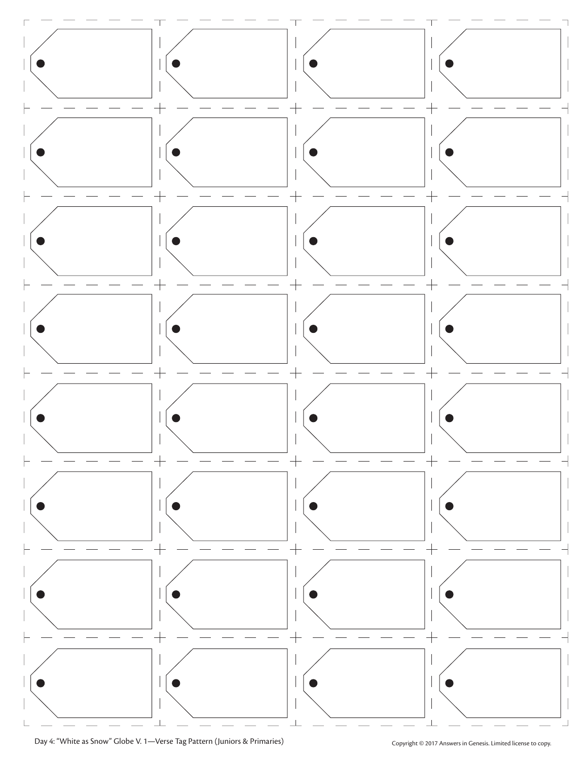

Day 4: "White as Snow" Globe V. 1—Verse Tag Pattern (Juniors & Primaries) Copyright © 2017 Answers in Genesis. Limited license to copy.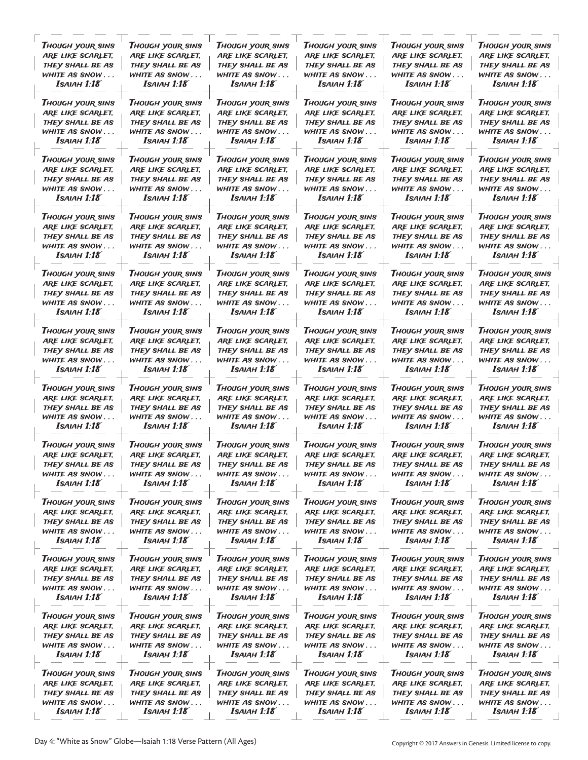| Though your sins        | <b>THOUGH YOUR SINS</b> | Though your sins        | Though your sins        | Though your sins        | <b>THOUGH YOUR SINS</b> |
|-------------------------|-------------------------|-------------------------|-------------------------|-------------------------|-------------------------|
| ARE LIKE SCARLET,       | ARE LIKE SCARLET,       | ARE LIKE SCARLET,       | ARE LIKE SCARLET,       | ARE LIKE SCARLET,       | ARE LIKE SCARLET,       |
| THEY SHALL BE AS        | THEY SHALL BE AS        | THEY SHALL BE AS        | THEY SHALL BE AS        | THEY SHALL BE AS        | THEY SHALL BE AS        |
| WHITE AS SNOW           | WHITE AS SNOW           | WHITE AS SNOW           | WHITE AS SNOW           | WHITE AS SNOW           | WHITE AS SNOW           |
| Isaiah 1:18             | Isaiah 1:18             | Isaiah 1:18             | Isaiah 1:18             | Isaiah 1:18             | Isaiah 1:18             |
| <b>THOUGH YOUR SINS</b> | <b>THOUGH YOUR SINS</b> | Though your sins        | Though your sins        | <b>THOUGH YOUR SINS</b> | <b>THOUGH YOUR SINS</b> |
| ARE LIKE SCARLET,       | ARE LIKE SCARLET,       | ARE LIKE SCARLET,       | ARE LIKE SCARLET,       | ARE LIKE SCARLET,       | ARE LIKE SCARLET,       |
| THEY SHALL BE AS        | THEY SHALL BE AS        | THEY SHALL BE AS        | THEY SHALL BE AS        | THEY SHALL BE AS        | THEY SHALL BE AS        |
| white as snow           | WHITE AS SNOW           | WHITE AS SNOW           | WHITE AS SNOW           | WHITE AS SNOW           | WHITE AS SNOW           |
| Isaiah 1:18             | Isaiah 1:18             | Isaiah 1:18             | Isaiah 1:18             | Isaiah 1:18             | Isaiah 1:18             |
| <b>THOUGH YOUR SINS</b> | <b>THOUGH YOUR SINS</b> | <b>THOUGH YOUR SINS</b> | <b>THOUGH YOUR SINS</b> | <b>THOUGH YOUR SINS</b> | <b>THOUGH YOUR SINS</b> |
| ARE LIKE SCARLET,       | ARE LIKE SCARLET,       | ARE LIKE SCARLET,       | ARE LIKE SCARLET,       | ARE LIKE SCARLET,       | ARE LIKE SCARLET,       |
| THEY SHALL BE AS        | THEY SHALL BE AS        | THEY SHALL BE AS        | THEY SHALL BE AS        | THEY SHALL BE AS        | THEY SHALL BE AS        |
| WHITE AS SNOW           | WHITE AS SNOW           | WHITE AS SNOW           | WHITE AS SNOW           | WHITE AS SNOW           | WHITE AS SNOW           |
| Isaiah 1:18             | Isaiah 1:18             | Isaiah 1:18             | Isaiah 1:18             | Isaiah 1:18             | Isaiah 1:18             |
| <b>THOUGH YOUR SINS</b> | <b>THOUGH YOUR SINS</b> | <b>THOUGH YOUR SINS</b> | Though your sins        | <b>THOUGH YOUR SINS</b> | <b>THOUGH YOUR SINS</b> |
| ARE LIKE SCARLET,       | ARE LIKE SCARLET,       | ARE LIKE SCARLET,       | ARE LIKE SCARLET,       | ARE LIKE SCARLET,       | ARE LIKE SCARLET,       |
| THEY SHALL BE AS        | THEY SHALL BE AS        | THEY SHALL BE AS        | THEY SHALL BE AS        | THEY SHALL BE AS        | THEY SHALL BE AS        |
| WHITE AS SNOW           | WHITE AS SNOW           | WHITE AS SNOW           | WHITE AS SNOW           | WHITE AS SNOW           | WHITE AS SNOW           |
| Isaiah 1:18             | Isaiah 1:18             | Isaiah 1:18             | Isaiah 1:18             | $Isa$ $A$ $H$ $1:18$    | Isaiah 1:18             |
| <b>THOUGH YOUR SINS</b> | <b>THOUGH YOUR SINS</b> | <b>THOUGH YOUR SINS</b> | Though your sins        | <b>THOUGH YOUR SINS</b> | <b>THOUGH YOUR SINS</b> |
| ARE LIKE SCARLET,       | ARE LIKE SCARLET,       | ARE LIKE SCARLET,       | ARE LIKE SCARLET,       | ARE LIKE SCARLET,       | ARE LIKE SCARLET,       |
| THEY SHALL BE AS        | THEY SHALL BE AS        | THEY SHALL BE AS        | THEY SHALL BE AS        | THEY SHALL BE AS        | THEY SHALL BE AS        |
| WHITE AS SNOW           | WHITE AS SNOW           | WHITE AS SNOW           | WHITE AS SNOW           | WHITE AS SNOW           | WHITE AS SNOW           |
| Isaiah 1:18             | Isaiah 1:18             | <b>I</b> saiah 1:18     | Isaiah 1:18             | Isaiah 1:18             | Isaiah 1:18             |
| <b>THOUGH YOUR SINS</b> | <b>THOUGH YOUR SINS</b> | <b>THOUGH YOUR SINS</b> | <b>THOUGH YOUR SINS</b> | <b>THOUGH YOUR SINS</b> | <b>THOUGH YOUR SINS</b> |
| ARE LIKE SCARLET,       | ARE LIKE SCARLET,       | ARE LIKE SCARLET,       | ARE LIKE SCARLET,       | ARE LIKE SCARLET,       | ARE LIKE SCARLET,       |
| THEY SHALL BE AS        | THEY SHALL BE AS        | THEY SHALL BE AS        | THEY SHALL BE AS        | THEY SHALL BE AS        | THEY SHALL BE AS        |
| WHITE AS SNOW           | white As snow           | WHITE AS SNOW           | WHITE AS SNOW           | WHITE AS SNOW           | WHITE AS SNOW           |
| Isaiah 1:18             | Isaiah 1:18             | Isaiah 1:18             | <b>I</b> saiah 1:18     | Isaiah 1:18             | Isaiah 1:18             |
| <b>THOUGH YOUR SINS</b> | <b>THOUGH YOUR SINS</b> | <b>THOUGH YOUR SINS</b> | <b>THOUGH YOUR SINS</b> | <b>THOUGH YOUR SINS</b> | <b>THOUGH YOUR SINS</b> |
| ARE LIKE SCARLET,       | ARE LIKE SCARLET,       | ARE LIKE SCARLET,       | ARE LIKE SCARLET,       | ARE LIKE SCARLET,       | ARE LIKE SCARLET,       |
| THEY SHALL BE AS        | THEY SHALL BE AS        | THEY SHALL BE AS        | THEY SHALL BE AS        | THEY SHALL BE AS        | THEY SHALL BE AS        |
| WHITE AS SNOW           | WHITE AS SNOW           | WHITE AS SNOW           | WHITE AS SNOW           | WHITE AS SNOW           | WHITE AS SNOW           |
| Isaiah 1:18             | <b>I</b> saiah 1:18     | Isaiah 1:18             | Isaiah 1:18             | Isaiah 1:18             | <b>ISAIAH 1:18</b>      |
| Though your sins        | <b>THOUGH YOUR SINS</b> | THOUGH YOUR SINS        | Though your sins        | <b>THOUGH YOUR SINS</b> | <b>THOUGH YOUR SINS</b> |
| ARE LIKE SCARLET,       | ARE LIKE SCARLET,       | ARE LIKE SCARLET,       | ARE LIKE SCARLET,       | ARE LIKE SCARLET,       | ARE LIKE SCARLET,       |
| THEY SHALL BE AS        | THEY SHALL BE AS        | THEY SHALL BE AS        | THEY SHALL BE AS        | THEY SHALL BE AS        | THEY SHALL BE AS        |
| WHITE AS SNOW           | WHITE AS SNOW           | WHITE AS SNOW           | WHITE AS SNOW           | WHITE AS SNOW           | WHITE AS SNOW           |
| <b>I</b> saiah 1:18     | $Isa$ iah 1:18          | $Isa$ $A$ $H$ $1:18$    | $Isa$ $A$ $H$ $1:18$    | <b>I</b> saiah 1:18     | Isaiah 1:18             |
| <b>THOUGH YOUR SINS</b> | <b>THOUGH YOUR SINS</b> | Though your sins        | <b>THOUGH YOUR SINS</b> | <b>THOUGH YOUR SINS</b> | <b>THOUGH YOUR SINS</b> |
| ARE LIKE SCARLET,       | ARE LIKE SCARLET,       | ARE LIKE SCARLET,       | ARE LIKE SCARLET,       | ARE LIKE SCARLET,       | ARE LIKE SCARLET,       |
| THEY SHALL BE AS        | THEY SHALL BE AS        | THEY SHALL BE AS        | THEY SHALL BE AS        | THEY SHALL BE AS        | THEY SHALL BE AS        |
| WHITE AS SNOW           | WHITE AS SNOW           | WHITE AS SNOW           | WHITE AS SNOW           | WHITE AS SNOW           | WHITE AS SNOW           |
| $Isa$ iah 1:18          | $Isa$ iah 1:18          | $Isa$ $A$ $H$ $1:18$    | <b>I</b> saiah 1:18     | Isaiah 1:18             | Isaiah 1:18             |
| <b>THOUGH YOUR SINS</b> | <b>THOUGH YOUR SINS</b> | <b>THOUGH YOUR SINS</b> | <b>THOUGH YOUR SINS</b> | <b>THOUGH YOUR SINS</b> | <b>THOUGH YOUR SINS</b> |
| ARE LIKE SCARLET,       | ARE LIKE SCARLET,       | ARE LIKE SCARLET,       | ARE LIKE SCARLET,       | ARE LIKE SCARLET,       | ARE LIKE SCARLET,       |
| THEY SHALL BE AS        | THEY SHALL BE AS        | THEY SHALL BE AS        | THEY SHALL BE AS        | THEY SHALL BE AS        | THEY SHALL BE AS        |
| WHITE AS SNOW           | WHITE AS SNOW           | WHITE AS SNOW           | WHITE AS SNOW           | WHITE AS SNOW           | WHITE AS SNOW           |
| Isaiah 1:18             | Isaiah 1:18             | Isaiah 1:18             | Isaiah 1:18             | Isaiah 1:18             | Isaiah 1:18             |
| <b>THOUGH YOUR SINS</b> | <b>THOUGH YOUR SINS</b> | <b>THOUGH YOUR SINS</b> | <b>THOUGH YOUR SINS</b> | <b>THOUGH YOUR SINS</b> | <b>THOUGH YOUR SINS</b> |
| ARE LIKE SCARLET,       | ARE LIKE SCARLET,       | ARE LIKE SCARLET,       | ARE LIKE SCARLET,       | ARE LIKE SCARLET,       | ARE LIKE SCARLET,       |
| THEY SHALL BE AS        | THEY SHALL BE AS        | THEY SHALL BE AS        | THEY SHALL BE AS        | THEY SHALL BE AS        | THEY SHALL BE AS        |
| WHITE AS SNOW           | WHITE AS SNOW           | WHITE AS SNOW           | WHITE AS SNOW           | WHITE AS SNOW           | WHITE AS SNOW           |
| Isaiah 1:18             | Isaiah 1:18             | Isaiah 1:18             | Isaiah 1:18             | Isaiah 1:18             | Isaiah 1:18             |
| <b>THOUGH YOUR SINS</b> | <b>THOUGH YOUR SINS</b> | <b>THOUGH YOUR SINS</b> | <b>THOUGH YOUR SINS</b> | <b>THOUGH YOUR SINS</b> | <b>THOUGH YOUR SINS</b> |
| ARE LIKE SCARLET,       | ARE LIKE SCARLET,       | ARE LIKE SCARLET,       | ARE LIKE SCARLET,       | ARE LIKE SCARLET,       | ARE LIKE SCARLET,       |
| THEY SHALL BE AS        | THEY SHALL BE AS        | THEY SHALL BE AS        | THEY SHALL BE AS        | THEY SHALL BE AS        | THEY SHALL BE AS        |
| WHITE AS SNOW           | WHITE AS SNOW           | WHITE AS SNOW           | WHITE AS SNOW           | WHITE AS SNOW           | WHITE AS SNOW           |
| <b>ISAIAH 1:18</b>      | $Isa$ $A$ $H$ $1:18$    | <b>ISAIAH 1:18</b>      | $Isa$ $A$ $H$ $1:18$    | <b>I</b> saiah 1:18     | Isaiah 1:18             |